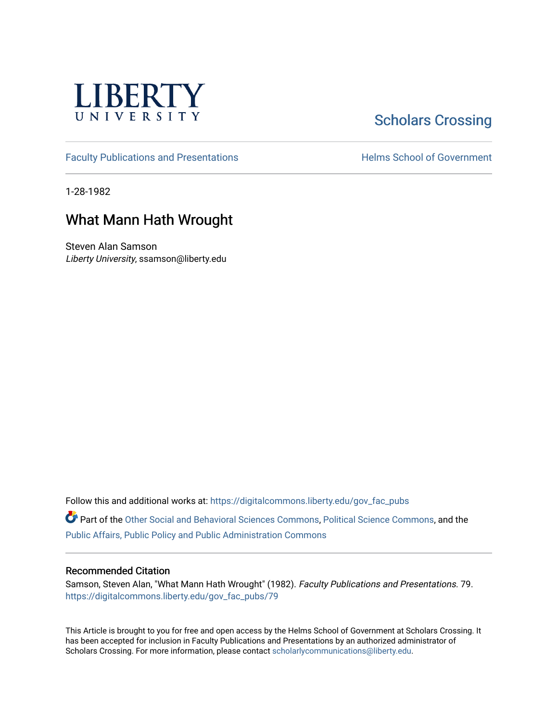

## **Scholars Crossing**

[Faculty Publications and Presentations](https://digitalcommons.liberty.edu/gov_fac_pubs) **Exercise School of Government** 

1-28-1982

### What Mann Hath Wrought

Steven Alan Samson Liberty University, ssamson@liberty.edu

Follow this and additional works at: [https://digitalcommons.liberty.edu/gov\\_fac\\_pubs](https://digitalcommons.liberty.edu/gov_fac_pubs?utm_source=digitalcommons.liberty.edu%2Fgov_fac_pubs%2F79&utm_medium=PDF&utm_campaign=PDFCoverPages)

Part of the [Other Social and Behavioral Sciences Commons](http://network.bepress.com/hgg/discipline/437?utm_source=digitalcommons.liberty.edu%2Fgov_fac_pubs%2F79&utm_medium=PDF&utm_campaign=PDFCoverPages), [Political Science Commons](http://network.bepress.com/hgg/discipline/386?utm_source=digitalcommons.liberty.edu%2Fgov_fac_pubs%2F79&utm_medium=PDF&utm_campaign=PDFCoverPages), and the [Public Affairs, Public Policy and Public Administration Commons](http://network.bepress.com/hgg/discipline/393?utm_source=digitalcommons.liberty.edu%2Fgov_fac_pubs%2F79&utm_medium=PDF&utm_campaign=PDFCoverPages)

#### Recommended Citation

Samson, Steven Alan, "What Mann Hath Wrought" (1982). Faculty Publications and Presentations. 79. [https://digitalcommons.liberty.edu/gov\\_fac\\_pubs/79](https://digitalcommons.liberty.edu/gov_fac_pubs/79?utm_source=digitalcommons.liberty.edu%2Fgov_fac_pubs%2F79&utm_medium=PDF&utm_campaign=PDFCoverPages) 

This Article is brought to you for free and open access by the Helms School of Government at Scholars Crossing. It has been accepted for inclusion in Faculty Publications and Presentations by an authorized administrator of Scholars Crossing. For more information, please contact [scholarlycommunications@liberty.edu.](mailto:scholarlycommunications@liberty.edu)